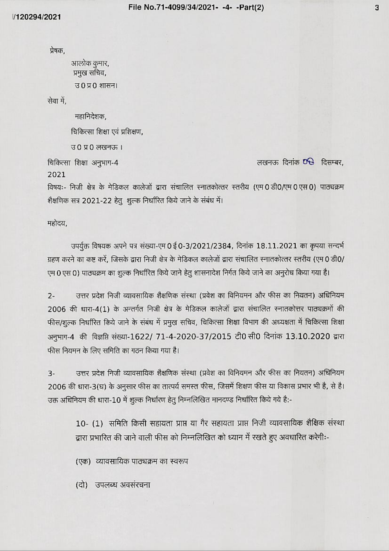प्रेषक,

आलोक कुमार, प्रमुख सचिव, उ0 प्र0 शासन।

सेवा में.

महानिदेशक,

चिकित्सा शिक्षा एवं प्रशिक्षण,

उ 0 प्र 0 लखनऊ ।

चिकित्सा शिक्षा अनुभाग-4

लखनऊ दिनांक OB दिसम्बर,

2021

विषयः- निजी क्षेत्र के मेडिकल कालेजों द्वारा संचालित स्नातकोत्तर स्तरीय (एम 0 डी0/एम 0 एस 0) पाठ्यक्रम शैक्षणिक सत्र 2021-22 हेत् शुल्क निर्धारित किये जाने के संबंध में।

महोदय,

उपर्युक्त विषयक अपने पत्र संख्या-एम 0 ई 0-3/2021/2384, दिनांक 18.11.2021 का कृपया सन्दर्भ ग्रहण करने का कष्ट करें, जिसके द्वारा निजी क्षेत्र के मेडिकल कालेजों द्वारा संचालित स्नातकोत्तर स्तरीय (एम 0 डी0/ एम 0 एस 0) पाठ्यक्रम का शुल्क निर्धारित किये जाने हेतु शासनादेश निर्गत किये जाने का अनुरोध किया गया है।

उत्तर प्रदेश निजी व्यावसायिक शैक्षणिक संस्था (प्रवेश का विनियमन और फीस का नियतन) अधिनियम  $2 -$ 2006 की धारा-4(1) के अन्तर्गत निजी क्षेत्र के मेडिकल कालेजों द्वारा संचालित स्नातकोत्तर पाठ्यक्रमों की फीस/शुल्क निर्धारित किये जाने के संबंध में प्रमुख सचिव, चिकित्सा शिक्षा विभाग की अध्यक्षता में चिकित्सा शिक्षा अनुभाग-4 की विज्ञप्ति संख्या-1622/ 71-4-2020-37/2015 टी0 सी0 दिनांक 13.10.2020 द्वारा फीस नियमन के लिए समिति का गठन किया गया है।

उत्तर प्रदेश निजी व्यावसायिक शैक्षणिक संस्था (प्रवेश का विनियमन और फीस का नियतन) अधिनियम  $\overline{3}$ -2006 की धारा-3(घ) के अनुसार फीस का तात्पर्य समस्त फीस, जिसमें शिक्षण फीस या विकास प्रभार भी है, से है। उक्त अधिनियम की धारा-10 में शुल्क निर्धारण हेतु निम्नलिखित मानदण्ड निर्धारित किये गये है:-

10- (1) समिति किसी सहायता प्राप्त या गैर सहायता प्राप्त निजी व्यावसायिक शैक्षिक संस्था द्वारा प्रभारित की जाने वाली फीस को निम्नलिखित को ध्यान में रखते हुए अवधारित करेगी:-

(एक) व्यावसायिक पाठ्यक्रम का स्वरूप

(दो) उपलब्ध अवसंरचना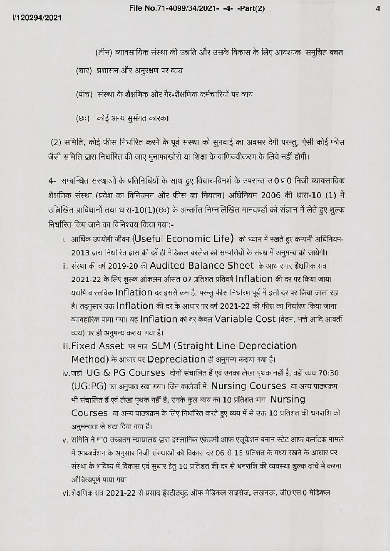(तीन) व्यावसायिक संस्था की उन्नति और उसके विकास के लिए आवश्यक समुचित बचत

(चार) प्रशासन और अनुरक्षण पर व्यय

(पॉच) संस्था के शैक्षणिक और गैर-शैक्षणिक कर्मचारियों पर व्यय

(छः) कोई अन्य सुसंगत कारक।

(2) समिति, कोई फीस निर्धारित करने के पूर्व संस्था को सुनवाई का अवसर देगी परन्तु, ऐसी कोई फीस जैसी समिति द्वारा निर्धारित की जाए मुनाफाखोरी या शिक्षा के वाणिज्यीकरण के लिये नहीं होगी।

4- सम्बन्धित संस्थाओं के प्रतिनिधियों के साथ हुए विचार-विमर्श के उपरान्त उ0 प्र0 निजी व्यावसायिक शैक्षणिक संस्था (प्रवेश का विनियमन और फीस का नियतन) अधिनियम 2006 की धारा-10 (1) में उल्लिखित प्राविधानों तथा धारा-10(1)(छः) के अन्तर्गत निम्नलिखित मानदण्डों को संज्ञान में लेते हुए शुल्क निर्धारित किए जाने का विनिश्चय किया गया:-

- i. आर्थिक उपयोगी जीवन (Useful Economic Life) को ध्यान में रखते हुए कम्पनी अधिनियम-2013 द्वारा निर्धारित हास की दरें ही मेडिकल कालेज की सम्पत्तियों के संबंध में अनुमन्य की जायेगी।
- ii. संस्था की वर्ष 2019-20 की Audited Balance Sheet के आधार पर शैक्षणिक सत्र 2021-22 के लिए शुल्क आंकलन औसत 07 प्रतिशत प्रतिवर्ष Inflation की दर पर किया जाय। यद्यपि वास्तविक Inflation दर इससे कम है, परन्तु फीस निर्धारण पूर्व में इसी दर पर किया जाता रहा है। तदुनुसार उक्त Inflation की दर के आधार पर वर्ष 2021-22 की फीस का निर्धारण किया जाना व्यावहारिक पाया गया। यह Inflation की दर केवल Variable Cost (वेतन, भत्ते आदि आवर्ती व्यय) पर ही अनुमन्य कराया गया है।
- iii. Fixed Asset पर मात्र SLM (Straight Line Depreciation Method) के आधार पर Depreciation ही अनुमन्य कराया गया है।
- iv.जहॉ UG & PG Courses दोनों संचालित हैं एवं उनका लेखा पृथक नहीं है, वहॉ व्यय 70:30 (UG:PG) का अनुपात रखा गया। जिन कालेजों में Nursing Courses या अन्य पाठ्यक्रम भी संचालित हैं एवं लेखा पृथक नहीं है, उनके कुल व्यय का 10 प्रतिशत भाग Nursing Courses या अन्य पाठ्यक्रम के लिए निर्धारित करते हुए व्यय में से उक्त 10 प्रतिशत की धनराशि को अनुमन्यता से घटा दिया गया है।
- v. समिति ने मा0 उच्चतम न्यायालय द्वारा इस्लामिक एकेडमी आफ एजूकेशन बनाम स्टेट आफ कर्नाटक मामले में आब्जर्वेशन के अनुसार निजी संस्थाओं को विकास दर 06 से 15 प्रतिशत के मध्य रखने के आधार पर संस्था के भविष्य में विकास एवं सुधार हेतु 10 प्रतिशत की दर से धनराशि की व्यवस्था शुल्क ढांचे में करना औचित्यपूर्ण पाया गया।
- vi. शैक्षणिक सत्र 2021-22 से प्रसाद इंस्टीट्यूट ऑफ मेडिकल साइंसेज, लखनऊ, जी0 एस 0 मेडिकल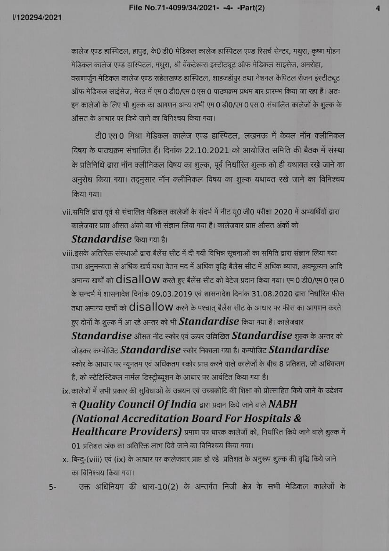$\overline{a}$ 

कालेज एण्ड हास्पिटल, हापुड, के0 डी0 मेडिकल कालेज हास्पिटल एण्ड रिसर्च सेन्टर, मथुरा, कृष्ण मोहन मेडिकल कालेज एण्ड हास्पिटल, मधुरा, श्री वेंकटेश्वरा इंस्टीटचूट ऑफ मेडिकल साइंसेज, अमरोहा, वरूणार्जुन मेडिकल कालेज एण्ड रूहेलखण्ड हास्पिटल, शाहजहॉपुर तथा नेशनल कैपिटल रीजन इंस्टीट्यूट ऑफ मेडिकल साइंसेज, मेरठ में एम 0 डी0/एम 0 एस 0 पाठ्यक्रम प्रथम बार प्रारम्भ किया जा रहा है। अतः इन कालेजों के लिए भी शुल्क का आगणन अन्य सभी एम 0 डी0/एम 0 एस 0 संचालित कालेजों के शुल्क के औसत के आधार पर किये जाने का विनिश्चय किया गया।

टी0 एस 0 मिश्रा मेडिकल कालेज एण्ड हास्पिटल, लखनऊ में केवल नॉन क्लीनिकल विषय के पात्चक्रम संचालित हैं। दिनांक 22.10.2021 को आयोजित समिति की बैठक में संस्था के प्रतिनिधि द्वारा नॉन क्लीनिकल विषय का शुल्क, पूर्व निर्धारित शुल्क को ही यथावत रखे जाने का अनुरोध किया गया। तदनुसार नॉन क्लीनिकल विषय का शुल्क यथावत रखे जाने का विनिश्चय किया गया।

vii.समिति द्वारा पूर्व से संचालित मेडिकल कालेजों के संदर्भ में नीट यू0 जी0 परीक्षा 2020 में अभ्यर्थियों द्वारा कालेजवार प्राप्त औसत अंको का भी संज्ञान लिया गया है। कालेजवार प्राप्त औसत अंकों को

Standardise किया गया है।

viii.इसके अतिरिक्त संस्थाओं द्वारा बैलेंस सीट में दी गयी विभिन्न सूचनाओं का समिति द्वारा संज्ञान लिया गया तथा अनुमन्यता से अधिक खर्च यथा वेतन मद में अधिक वृद्धि बैलेंस सीट में अधिक ब्याज, अवमूल्यन आदि अमान्य खर्चों को disallow करते हुए बैलेंस सीट को वेटेज प्रदान किया गया। एम 0 डी0/एम 0 एस 0 के सन्दर्भ में शासनादेश दिनांक 09.03.2019 एवं शासनादेश दिनांक 31.08.2020 द्वारा निर्धारित फीस तथा अमान्य खर्चों को  $d$ isallow करने के पश्चात् बैलेंस सीट के आधार पर फीस का आगणन करते हुए दोनों के शुल्क में आ रहे अन्तर को भी **Standardise** किया गया है। कालेजवार

Standardise औसत नीट स्कोर एवं ऊपर उल्लिखित Standardise शुल्क के अन्तर को जोडकर कम्पोजिट  $\emph{Standardise}$  स्कोर निकाला गया है। कम्पोजिट  $\emph{Standardise}$ स्कोर के आधार पर न्यूनतम एवं अधिकतम स्कोर प्राप्त करने वाले कालेजों के बीच 8 प्रतिशत, जो अधिकतम

है, को स्टेटिस्टिकल नार्मल डिस्ट्रीब्यूशन के आधार पर आवंटित किया गया है। ix, कालेजों में सभी प्रकार की सुविधाओं के उन्नयन एवं उच्चकोटि की शिक्षा को प्रोत्साहित किये जाने के उद्देशय

# से Quality Council Of India द्वारा प्रदान किये जाने वाले  $NABH$ (National Accreditation Board For Hospitals & Healthcare Providers) प्रमाण पत्र धारक कालेजों को, निर्धारित किये जाने वाले शुल्क में

01 प्रतिशत अंक का अतिरिक्त लाभ दिये जाने का विनिश्चय किया गया।

x. बिन्दु-(viii) एवं (ix) के आधार पर कालेजवार प्राप्त हो रहे प्रतिशत के अनुरूप शुल्क की वृद्धि किये जाने का विनिश्चय किया गया।

उक्त अधिनियम की धारा-10(2) के अन्तर्गत निजी क्षेत्र के सभी मेडिकल कालेजों के

 $5-$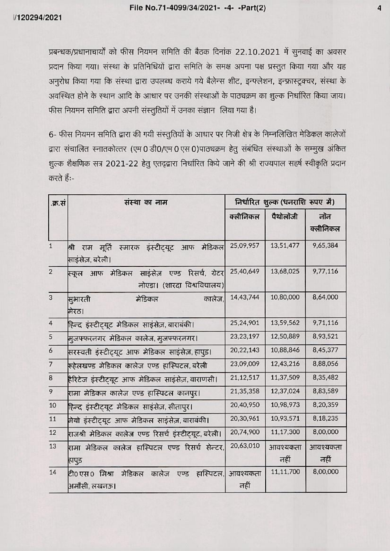4

प्रबन्धक/प्रधानाचार्यों को फीस नियमन समिति की बैठक दिनांक 22.10.2021 में सुनवाई का अवसर प्रदान किया गया। संस्था के प्रतिनिधियों द्वारा समिति के समक्ष अपना पक्ष प्रस्तुत किया गया और यह अनुरोध किया गया कि संस्था द्वारा उपलब्ध कराये गये बैलेन्स शीट, इन्फ्लेशन, इन्फ्रास्ट्रक्चर, संस्था के अवस्थित होने के स्थान आदि के आधार पर उनकी संस्थाओं के पाठ्यक्रम का शुल्क निर्धारित किया जाय। फीस नियमन समिति द्वारा अपनी संस्तुतियों में उनका संज्ञान लिया गया है।

6- फीस नियमन समिति द्वारा की गयी संस्तुतियों के आधार पर निजी क्षेत्र के निम्नलिखित मेडिकल कालेजों द्वारा संचालित स्नातकोत्तर (एम 0 डी0/एम 0 एस 0)पाठ्यक्रम हेतु संबंधित संस्थाओं के सम्मुख अंकित शुल्क शैक्षणिक सत्र 2021-22 हेतु एतद्व्रारा निर्धारित किये जाने की श्री राज्यपाल सहर्ष स्वीकृति प्रदान करते हैं:-

| .क्र.सं        | संस्था का नाम                                                                            | निर्धारित शुल्क (धनराशि रूपए में) |                  |                  |
|----------------|------------------------------------------------------------------------------------------|-----------------------------------|------------------|------------------|
|                |                                                                                          | क्लीनिकल                          | पैथोलॉजी         | नोंन<br>क्लीनिकल |
| $\mathbf{1}$   | स्मारक इंस्टीट्यूट आफ<br>मेडिकल<br>श्री<br>मूर्ति<br>राम<br>साइंसेज़, बरेली।             | 25,09,957                         | 13,51,477        | 9,65,384         |
| $\overline{2}$ | रिसर्च, ग्रेटर<br>मेडिकल साइंसेज़<br>एण्ड<br>आफ<br>स्कुल<br>नोएडा। (शारदा विश्वविद्यालय) | 25,40,649                         | 13,68,025        | 9,77,116         |
| 3              | मेडिकल<br>सुभारती<br>कालेज.<br>मेरठ।                                                     | 14,43,744                         | 10,80,000        | 8,64,000         |
| $\overline{4}$ | हिन्द इंस्टीट्यूट मेडिकल साइंसेज़,बाराबंकी।                                              | 25,24,901                         | 13,59,562        | 9,71,116         |
| 5              | मुजफ्फरनगर मेडिकल कालेज, मुजफ्फरनगर।                                                     | 23,23,197                         | 12,50,889        | 8,93,521         |
| $\overline{6}$ | सरस्वती इंस्टीट्यूट आफ मेडिकल साइंसेज़,हापुड़।                                           | 20,22,143                         | 10,88,846        | 8,45,377         |
| $\overline{7}$ | रूहेलखण्ड मेडिकल कालेज एण्ड हास्पिटल,बरेली                                               | 23,09,009                         | 12,43,216        | 8,88,056         |
| $\bf8$         | हैरिटेज इंस्टीटयूट आफ मेडिकल साइंसेज़,वाराणसी।                                           | 21, 12, 517                       | 11,37,509        | 8,35,482         |
| 9              | रामा मेडिकल कालेज एण्ड हास्पिटल कानपुर।                                                  | 21,35,358                         | 12,37,024        | 8,83,589         |
| 10             | हिन्द इंस्टीट्यूट मेडिकल साइंसेज़, सीतापुर।                                              | 20,40,950                         | 10,98,973        | 8,20,359         |
| 11             | मेयो इंस्टीट्यूट आफ मेडिकल साइंसेज़,बाराबंकी।                                            | 20,30,961                         | 10,93,571        | 8,18,235         |
| 12             | राजश्री मेडिकल कालेज एण्ड रिसर्च इंस्टीट्यूट, बरेली।                                     | 20,74,900                         | 11,17,300        | 8,00,000         |
| 13             | रामा मेडिकल कालेज हास्पिटल एण्ड रिसर्च सेन्टर,<br>हापुड                                  | 20,63,010                         | आवश्यकता<br>नहीं | आवश्यकता<br>नहीं |
| 14             | टी0 एस0क्रिश्रा<br>मेडिकल<br>कालेज<br>हास्पिटल, <br>एण्ड<br>अमौसी, लखनऊ।                 | आवश्यकता<br>नहीं                  | 11,11,700        | 8,00,000         |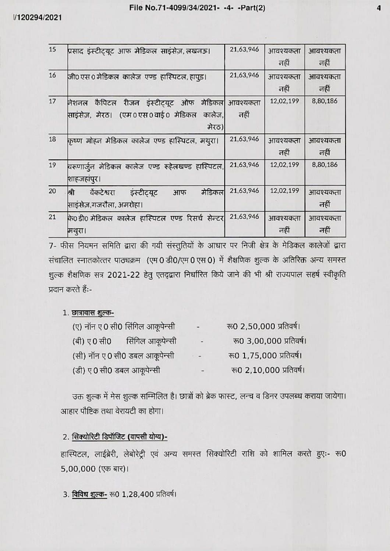#### File No.71-4099/34/2021- -4- -Part(2)

/120294/2021

| 15     | प्रसाद इंस्टीट्यूट आफ मेडिकल साइंसेज़,लखनऊ।                                                               | 21,63,946                | आवश्यकता<br>नहीं | आवश्यकता<br>नहीं |
|--------|-----------------------------------------------------------------------------------------------------------|--------------------------|------------------|------------------|
| 16     | जी0 एस 0 मेडिकल  कालेज  एण्ड  हास्पिटल, हापूड।                                                            | 21,63,946                | आवश्यकता<br>नहीं | आवश्यकता<br>नहीं |
| $17\,$ | रीजन इंस्टीट्यूट ऑफ<br>कैपिटल<br>नेशनल<br>साइंसेज़, मेरठ।  (एम 0 एस 0 वाई 0  मेडिकल   <br>कालेज,<br>मेरठ) | मेडिकल  आवश्यकता<br>नहीं | 12,02,199        | 8,80,186         |
| 18     | कृष्ण मोहन मेडिकल कालेज एण्ड हास्पिटल, मथुरा।                                                             | 21,63,946                | आवश्यकता<br>नहीं | आवश्यकता<br>नहीं |
| 19     | वरूणार्जुन मेडिकल कालेज एण्ड रूहेलखण्ड हास्पिटल,<br>शाहजहांपुर।                                           | 21,63,946                | 12,02,199        | 8,80,186         |
| 20     | मेडिकल<br>श्री<br>वैकटेश्वरा<br>इंस्टीटयूट<br>आफ<br>साइंसेज़,गजरौला, अमरोहा।                              | 21,63,946                | 12,02,199        | आवश्यकता<br>नहीं |
| 21     | के0डी0 मेडिकल कालेज हास्पिटल एण्ड रिसर्च सेन्टर<br>मथुरा।                                                 | 21,63,946                | आवश्यकता<br>नहीं | आवश्यकता<br>नहीं |

7- फीस नियमन समिति द्वारा की गयी संस्तुतियों के आधार पर निजी क्षेत्र के मेडिकल कालेजों द्वारा संचालित स्नातकोत्तर पाठ्यक्रम (एम 0 डी0/एम 0 एस 0) में शैक्षणिक शुल्क के अतिरिक्त अन्य समस्त शुल्क शैक्षणिक सत्र 2021-22 हेतु एतद्द्वारा निर्धारित किये जाने की भी श्री राज्यपाल सहर्ष स्वीकृति प्रदान करते हैं:-

#### 1. छात्रावास शुल्क-

|                            | (ए) नॉन ए 0 सी0 सिंगिल आकूपेन्सी | $\blacksquare$ | रू0 2,50,000 प्रतिवर्ष। |
|----------------------------|----------------------------------|----------------|-------------------------|
| (बी) ए 0 सी0               | सिंगिल आकूपेन्सी                 | ٠              | रू0 3,00,000 प्रतिवर्ष। |
|                            | (सी) नॉन ए0 सी0 डबल आकूपेन्सी    | $\lambda$      | रू0 1,75,000 प्रतिवर्ष। |
| (डी) ए 0 सी0 डबल आकूपेन्सी |                                  | ٠              | रू0 2,10,000 प्रतिवर्ष। |

उक्त शुल्क में मेस शुल्क सम्मिलित है। छात्रों को ब्रेक फास्ट, लन्च व डिनर उपलब्ध कराया जायेगा। आहार पौष्टिक तथा वेरायटी का होगा।

## 2. सिक्योरिटी डिपॉजिट (वापसी योग्य)-

हास्पिटल, लाईब्रेरी, लेबोरेट्री एवं अन्य समस्त सिक्योरिटी राशि को शामिल करते हुएः- रू0 5,00,000 (एक बार)।

3. विविध शुल्क- रू0 1,28,400 प्रतिवर्ष।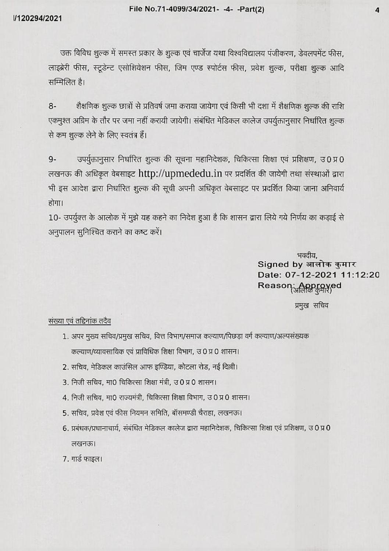उक्त विविध शुल्क में समस्त प्रकार के शुल्क एवं चार्जेज यथा विश्वविद्यालय पंजीकरण, डेवलपमेंट फीस, लाइब्रेरी फीस, स्टूडेन्ट एसोशियेशन फीस, जिम एण्ड स्पोर्टस फीस, प्रवेश शुल्क, परीक्षा शुल्क आदि सम्मिलित है।

शैक्षणिक शुल्क छात्रों से प्रतिवर्ष जमा कराया जायेगा एवं किसी भी दशा में शैक्षणिक शुल्क की राशि  $8-$ एकमुश्त अग्रिम के तौर पर जमा नहीं करायी जायेगी। संबंधित मेडिकल कालेज उपर्युक्तानुसार निर्धारित शुल्क से कम शुल्क लेने के लिए स्वतंत्र हैं।

उपर्युक्तानुसार निर्धारित शुल्क की सूचना महानिदेशक, चिकित्सा शिक्षा एवं प्रशिक्षण, उ0प्र0  $9-$ लखनऊ की अधिकृत वेबसाइट http://upmededu.in पर प्रदर्शित की जायेगी तथा संस्थाओं द्वारा भी इस आदेश द्वारा निर्धारित शुल्क की सूची अपनी अधिकृत वेबसाइट पर प्रदर्शित किया जाना अनिवार्य होगा।

10- उपर्युक्त के आलोक में मुझे यह कहने का निदेश हुआ है कि शासन द्वारा लिये गये निर्णय का कड़ाई से अनुपालन सुनिश्चित कराने का कष्ट करें।

> भवदीय. Signed by आलोक कुमार Date: 07-12-2021 11:12:20 Reason: Approved

> > प्रमुख सचिव

### संख्या एवं तद्दिनांक तदैव

- 1. अपर मुख्य सचिव/प्रमुख सचिव, वित्त विभाग/समाज कल्याण/पिछड़ा वर्ग कल्याण/अल्पसंख्यक कल्याण/व्यावसायिक एवं प्राविधिक शिक्षा विभाग, उ 0 प्र 0 शासन।
- 2. सचिव, मेडिकल काउंसिल आफ इण्डिया, कोटला रोड, नई दिल्ली।
- 3. निजी सचिव, मा0 चिकित्सा शिक्षा मंत्री, उ0 प्र 0 शासन।
- 4. निजी सचिव, मा0 राज्यमंत्री, चिकित्सा शिक्षा विभाग, उ 0 प्र 0 शासन।
- 5. सचिव, प्रवेश एवं फीस नियमन समिति, बॉसमण्डी चैराहा, लखनऊ।
- 6. प्रबंधक/प्रधानाचार्य, संबंधित मेडिकल कालेज द्वारा महानिदेशक, चिकित्सा शिक्षा एवं प्रशिक्षण, उ 0 प्र 0 लखनऊ।
- 7. गार्ड फाइल।